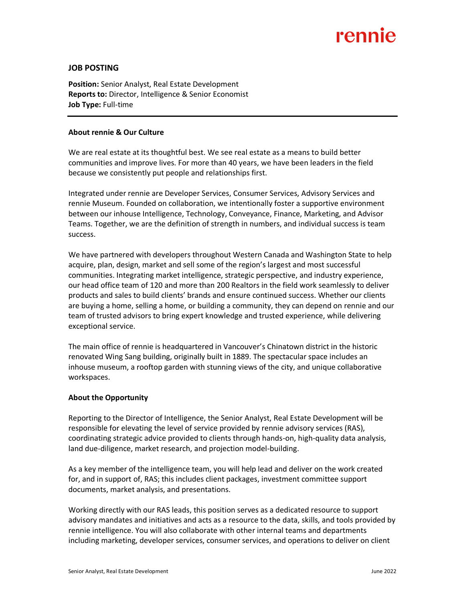# rennie

## **JOB POSTING**

**Position:** Senior Analyst, Real Estate Development **Reports to:** Director, Intelligence & Senior Economist **Job Type:** Full-time

### **About rennie & Our Culture**

We are real estate at its thoughtful best. We see real estate as a means to build better communities and improve lives. For more than 40 years, we have been leaders in the field because we consistently put people and relationships first.

Integrated under rennie are Developer Services, Consumer Services, Advisory Services and rennie Museum. Founded on collaboration, we intentionally foster a supportive environment between our inhouse Intelligence, Technology, Conveyance, Finance, Marketing, and Advisor Teams. Together, we are the definition of strength in numbers, and individual success is team success.

We have partnered with developers throughout Western Canada and Washington State to help acquire, plan, design, market and sell some of the region's largest and most successful communities. Integrating market intelligence, strategic perspective, and industry experience, our head office team of 120 and more than 200 Realtors in the field work seamlessly to deliver products and sales to build clients' brands and ensure continued success. Whether our clients are buying a home, selling a home, or building a community, they can depend on rennie and our team of trusted advisors to bring expert knowledge and trusted experience, while delivering exceptional service.

The main office of rennie is headquartered in Vancouver's Chinatown district in the historic renovated Wing Sang building, originally built in 1889. The spectacular space includes an inhouse museum, a rooftop garden with stunning views of the city, and unique collaborative workspaces.

## **About the Opportunity**

Reporting to the Director of Intelligence, the Senior Analyst, Real Estate Development will be responsible for elevating the level of service provided by rennie advisory services (RAS), coordinating strategic advice provided to clients through hands-on, high-quality data analysis, land due-diligence, market research, and projection model-building.

As a key member of the intelligence team, you will help lead and deliver on the work created for, and in support of, RAS; this includes client packages, investment committee support documents, market analysis, and presentations.

Working directly with our RAS leads, this position serves as a dedicated resource to support advisory mandates and initiatives and acts as a resource to the data, skills, and tools provided by rennie intelligence. You will also collaborate with other internal teams and departments including marketing, developer services, consumer services, and operations to deliver on client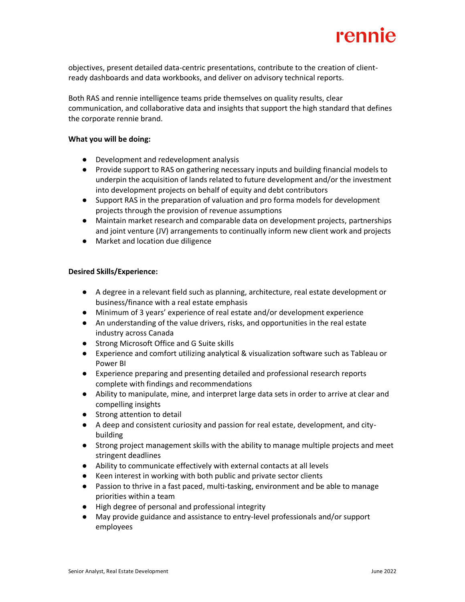

objectives, present detailed data-centric presentations, contribute to the creation of clientready dashboards and data workbooks, and deliver on advisory technical reports.

Both RAS and rennie intelligence teams pride themselves on quality results, clear communication, and collaborative data and insights that support the high standard that defines the corporate rennie brand.

#### **What you will be doing:**

- Development and redevelopment analysis
- Provide support to RAS on gathering necessary inputs and building financial models to underpin the acquisition of lands related to future development and/or the investment into development projects on behalf of equity and debt contributors
- Support RAS in the preparation of valuation and pro forma models for development projects through the provision of revenue assumptions
- Maintain market research and comparable data on development projects, partnerships and joint venture (JV) arrangements to continually inform new client work and projects
- Market and location due diligence

### **Desired Skills/Experience:**

- A degree in a relevant field such as planning, architecture, real estate development or business/finance with a real estate emphasis
- Minimum of 3 years' experience of real estate and/or development experience
- An understanding of the value drivers, risks, and opportunities in the real estate industry across Canada
- Strong Microsoft Office and G Suite skills
- Experience and comfort utilizing analytical & visualization software such as Tableau or Power BI
- Experience preparing and presenting detailed and professional research reports complete with findings and recommendations
- Ability to manipulate, mine, and interpret large data sets in order to arrive at clear and compelling insights
- Strong attention to detail
- A deep and consistent curiosity and passion for real estate, development, and citybuilding
- Strong project management skills with the ability to manage multiple projects and meet stringent deadlines
- Ability to communicate effectively with external contacts at all levels
- Keen interest in working with both public and private sector clients
- Passion to thrive in a fast paced, multi-tasking, environment and be able to manage priorities within a team
- High degree of personal and professional integrity
- May provide guidance and assistance to entry-level professionals and/or support employees